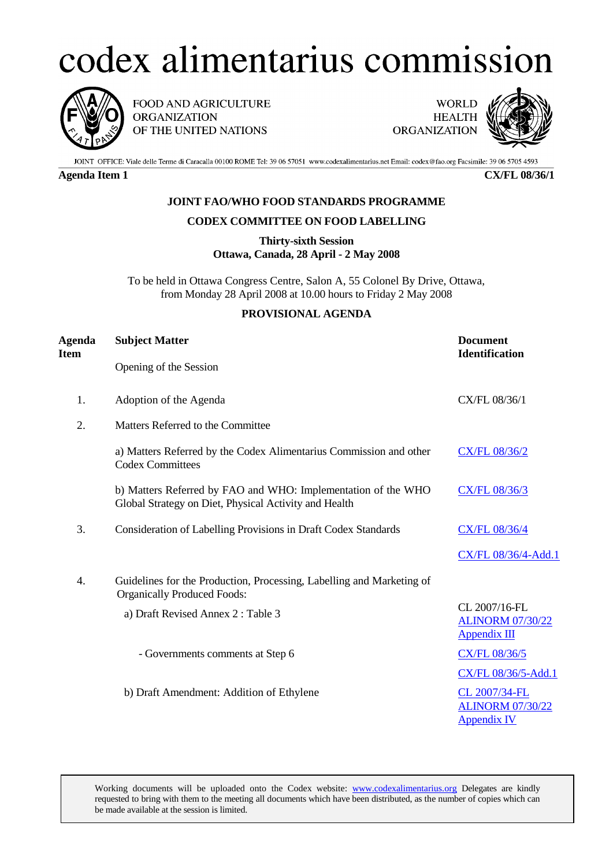## codex alimentarius commission



FOOD AND AGRICULTURE **ORGANIZATION** OF THE UNITED NATIONS

**WORLD HEALTH ORGANIZATION** 



JOINT OFFICE: Viale delle Terme di Caracalla 00100 ROME Tel: 39 06 57051 www.codexalimentarius.net Email: codex@fao.org Facsimile: 39 06 5705 4593

**Agenda Item 1 CX/FL 08/36/1**

## **JOINT FAO/WHO FOOD STANDARDS PROGRAMME**

## **CODEX COMMITTEE ON FOOD LABELLING**

**Thirty-sixth Session Ottawa, Canada, 28 April - 2 May 2008**

To be held in Ottawa Congress Centre, Salon A, 55 Colonel By Drive, Ottawa, from Monday 28 April 2008 at 10.00 hours to Friday 2 May 2008

## **PROVISIONAL AGENDA**

| Agenda<br>Item | <b>Subject Matter</b>                                                                                                  | <b>Document</b><br><b>Identification</b>                        |
|----------------|------------------------------------------------------------------------------------------------------------------------|-----------------------------------------------------------------|
|                | Opening of the Session                                                                                                 |                                                                 |
| 1.             | Adoption of the Agenda                                                                                                 | CX/FL 08/36/1                                                   |
| 2.             | Matters Referred to the Committee                                                                                      |                                                                 |
|                | a) Matters Referred by the Codex Alimentarius Commission and other<br><b>Codex Committees</b>                          | <b>CX/FL 08/36/2</b>                                            |
|                | b) Matters Referred by FAO and WHO: Implementation of the WHO<br>Global Strategy on Diet, Physical Activity and Health | CX/FL 08/36/3                                                   |
| 3.             | Consideration of Labelling Provisions in Draft Codex Standards                                                         | <b>CX/FL 08/36/4</b>                                            |
|                |                                                                                                                        | CX/FL 08/36/4-Add.1                                             |
| 4.             | Guidelines for the Production, Processing, Labelling and Marketing of<br><b>Organically Produced Foods:</b>            |                                                                 |
|                | a) Draft Revised Annex 2: Table 3                                                                                      | CL 2007/16-FL<br><b>ALINORM 07/30/22</b><br><b>Appendix III</b> |
|                | - Governments comments at Step 6                                                                                       | <b>CX/FL 08/36/5</b>                                            |
|                |                                                                                                                        | CX/FL 08/36/5-Add.1                                             |
|                | b) Draft Amendment: Addition of Ethylene                                                                               | CL 2007/34-FL<br><b>ALINORM 07/30/22</b><br><b>Appendix IV</b>  |

Working documents will be uploaded onto the Codex website: www.codexalimentarius.org Delegates are kindly requested to bring with them to the meeting all documents which have been distributed, as the number of copies which can be made available at the session is limited.